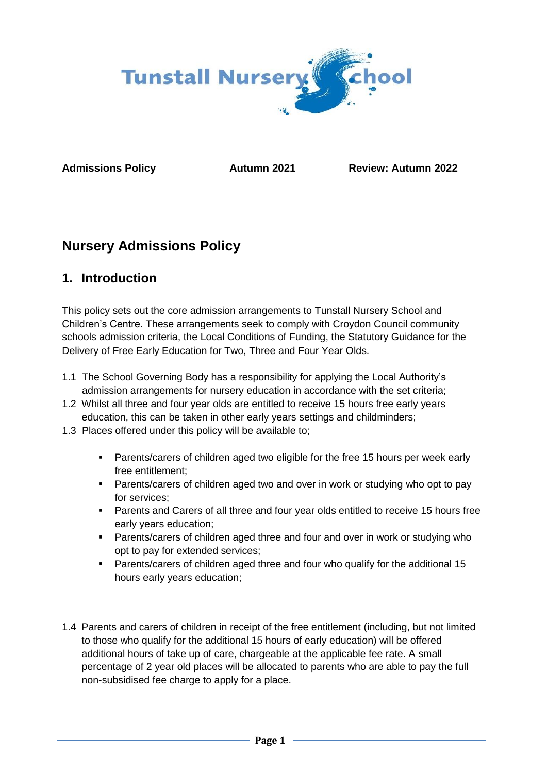

**Admissions Policy Autumn 2021 Review: Autumn 2022**

# **Nursery Admissions Policy**

## **1. Introduction**

This policy sets out the core admission arrangements to Tunstall Nursery School and Children's Centre. These arrangements seek to comply with Croydon Council community schools admission criteria, the Local Conditions of Funding, the Statutory Guidance for the Delivery of Free Early Education for Two, Three and Four Year Olds.

- 1.1 The School Governing Body has a responsibility for applying the Local Authority's admission arrangements for nursery education in accordance with the set criteria;
- 1.2 Whilst all three and four year olds are entitled to receive 15 hours free early years education, this can be taken in other early years settings and childminders;
- 1.3 Places offered under this policy will be available to;
	- Parents/carers of children aged two eligible for the free 15 hours per week early free entitlement;
	- Parents/carers of children aged two and over in work or studying who opt to pay for services;
	- Parents and Carers of all three and four year olds entitled to receive 15 hours free early years education;
	- Parents/carers of children aged three and four and over in work or studying who opt to pay for extended services;
	- Parents/carers of children aged three and four who qualify for the additional 15 hours early years education;
- 1.4 Parents and carers of children in receipt of the free entitlement (including, but not limited to those who qualify for the additional 15 hours of early education) will be offered additional hours of take up of care, chargeable at the applicable fee rate. A small percentage of 2 year old places will be allocated to parents who are able to pay the full non-subsidised fee charge to apply for a place.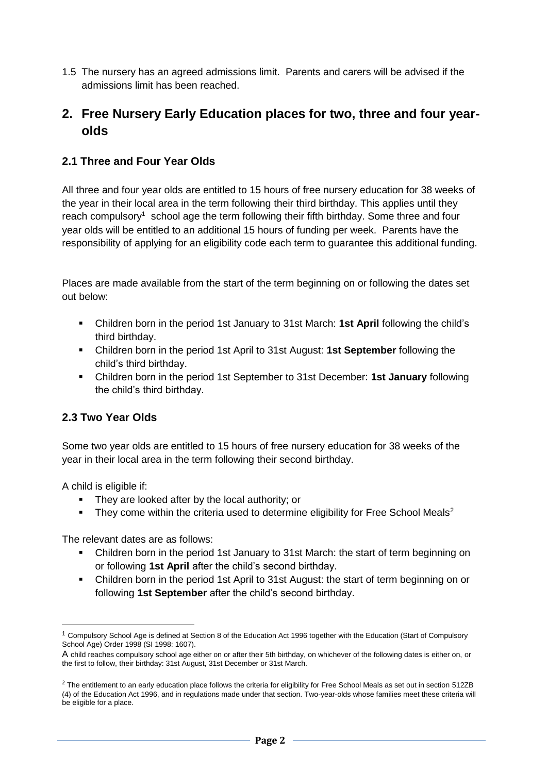1.5 The nursery has an agreed admissions limit. Parents and carers will be advised if the admissions limit has been reached.

### **2. Free Nursery Early Education places for two, three and four yearolds**

#### **2.1 Three and Four Year Olds**

All three and four year olds are entitled to 15 hours of free nursery education for 38 weeks of the year in their local area in the term following their third birthday. This applies until they reach compulsory<sup>1</sup> school age the term following their fifth birthday. Some three and four year olds will be entitled to an additional 15 hours of funding per week. Parents have the responsibility of applying for an eligibility code each term to guarantee this additional funding.

Places are made available from the start of the term beginning on or following the dates set out below:

- Children born in the period 1st January to 31st March: **1st April** following the child's third birthday.
- Children born in the period 1st April to 31st August: **1st September** following the child's third birthday.
- Children born in the period 1st September to 31st December: **1st January** following the child's third birthday.

### **2.3 Two Year Olds**

Some two year olds are entitled to 15 hours of free nursery education for 38 weeks of the year in their local area in the term following their second birthday.

A child is eligible if:

 $\overline{\phantom{a}}$ 

- They are looked after by the local authority; or
- They come within the criteria used to determine eligibility for Free School Meals<sup>2</sup>

The relevant dates are as follows:

- Children born in the period 1st January to 31st March: the start of term beginning on or following **1st April** after the child's second birthday.
- Children born in the period 1st April to 31st August: the start of term beginning on or following **1st September** after the child's second birthday.

 $1$  Compulsory School Age is defined at Section 8 of the Education Act 1996 together with the Education (Start of Compulsory School Age) Order 1998 (SI 1998: 1607).

A child reaches compulsory school age either on or after their 5th birthday, on whichever of the following dates is either on, or the first to follow, their birthday: 31st August, 31st December or 31st March.

 $2$  The entitlement to an early education place follows the criteria for eligibility for Free School Meals as set out in section 512ZB (4) of the Education Act 1996, and in regulations made under that section. Two-year-olds whose families meet these criteria will be eligible for a place.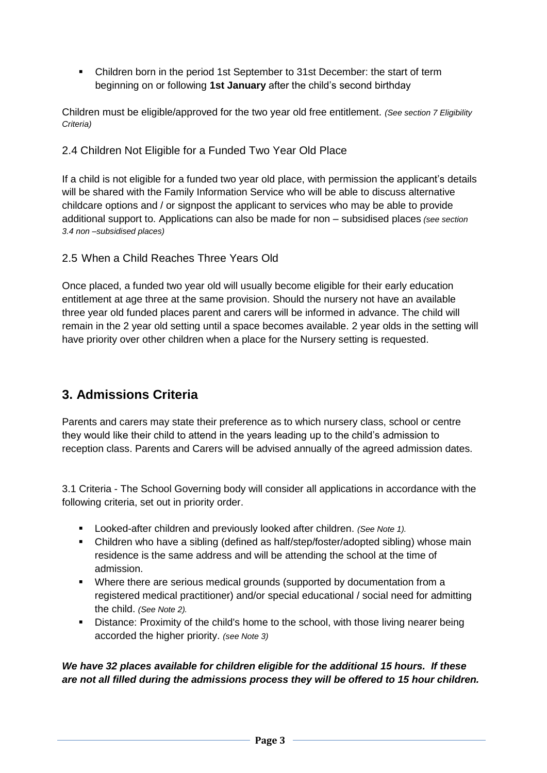▪ Children born in the period 1st September to 31st December: the start of term beginning on or following **1st January** after the child's second birthday

Children must be eligible/approved for the two year old free entitlement. *(See section 7 Eligibility Criteria)*

#### 2.4 Children Not Eligible for a Funded Two Year Old Place

If a child is not eligible for a funded two year old place, with permission the applicant's details will be shared with the Family Information Service who will be able to discuss alternative childcare options and / or signpost the applicant to services who may be able to provide additional support to. Applications can also be made for non – subsidised places *(see section 3.4 non –subsidised places)*

#### 2.5 When a Child Reaches Three Years Old

Once placed, a funded two year old will usually become eligible for their early education entitlement at age three at the same provision. Should the nursery not have an available three year old funded places parent and carers will be informed in advance. The child will remain in the 2 year old setting until a space becomes available. 2 year olds in the setting will have priority over other children when a place for the Nursery setting is requested.

### **3. Admissions Criteria**

Parents and carers may state their preference as to which nursery class, school or centre they would like their child to attend in the years leading up to the child's admission to reception class. Parents and Carers will be advised annually of the agreed admission dates.

3.1 Criteria - The School Governing body will consider all applications in accordance with the following criteria, set out in priority order.

- Looked-after children and previously looked after children. *(See Note 1)*.
- Children who have a sibling (defined as half/step/foster/adopted sibling) whose main residence is the same address and will be attending the school at the time of admission.
- Where there are serious medical grounds (supported by documentation from a registered medical practitioner) and/or special educational / social need for admitting the child. *(See Note 2).*
- **E** Distance: Proximity of the child's home to the school, with those living nearer being accorded the higher priority. *(see Note 3)*

*We have 32 places available for children eligible for the additional 15 hours. If these are not all filled during the admissions process they will be offered to 15 hour children.*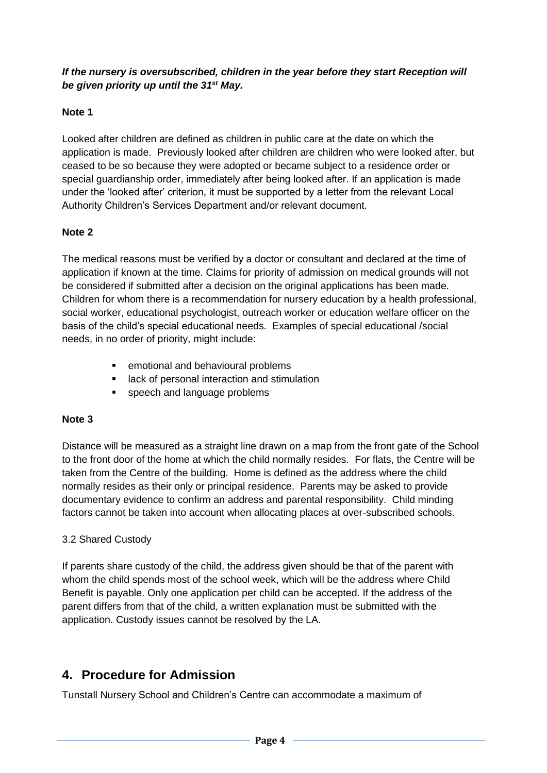#### *If the nursery is oversubscribed, children in the year before they start Reception will be given priority up until the 31st May.*

### **Note 1**

Looked after children are defined as children in public care at the date on which the application is made. Previously looked after children are children who were looked after, but ceased to be so because they were adopted or became subject to a residence order or special guardianship order, immediately after being looked after. If an application is made under the 'looked after' criterion, it must be supported by a letter from the relevant Local Authority Children's Services Department and/or relevant document.

#### **Note 2**

The medical reasons must be verified by a doctor or consultant and declared at the time of application if known at the time. Claims for priority of admission on medical grounds will not be considered if submitted after a decision on the original applications has been made. Children for whom there is a recommendation for nursery education by a health professional, social worker, educational psychologist, outreach worker or education welfare officer on the basis of the child's special educational needs. Examples of special educational /social needs, in no order of priority, might include:

- emotional and behavioural problems
- lack of personal interaction and stimulation
- speech and language problems

#### **Note 3**

Distance will be measured as a straight line drawn on a map from the front gate of the School to the front door of the home at which the child normally resides. For flats, the Centre will be taken from the Centre of the building. Home is defined as the address where the child normally resides as their only or principal residence. Parents may be asked to provide documentary evidence to confirm an address and parental responsibility. Child minding factors cannot be taken into account when allocating places at over-subscribed schools.

#### 3.2 Shared Custody

If parents share custody of the child, the address given should be that of the parent with whom the child spends most of the school week, which will be the address where Child Benefit is payable. Only one application per child can be accepted. If the address of the parent differs from that of the child, a written explanation must be submitted with the application. Custody issues cannot be resolved by the LA.

### **4. Procedure for Admission**

Tunstall Nursery School and Children's Centre can accommodate a maximum of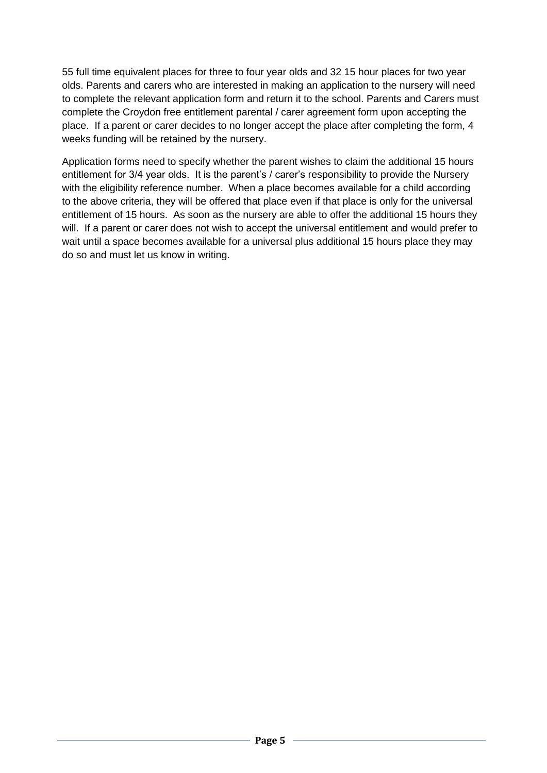55 full time equivalent places for three to four year olds and 32 15 hour places for two year olds. Parents and carers who are interested in making an application to the nursery will need to complete the relevant application form and return it to the school. Parents and Carers must complete the Croydon free entitlement parental / carer agreement form upon accepting the place. If a parent or carer decides to no longer accept the place after completing the form, 4 weeks funding will be retained by the nursery.

Application forms need to specify whether the parent wishes to claim the additional 15 hours entitlement for 3/4 year olds. It is the parent's / carer's responsibility to provide the Nursery with the eligibility reference number. When a place becomes available for a child according to the above criteria, they will be offered that place even if that place is only for the universal entitlement of 15 hours. As soon as the nursery are able to offer the additional 15 hours they will. If a parent or carer does not wish to accept the universal entitlement and would prefer to wait until a space becomes available for a universal plus additional 15 hours place they may do so and must let us know in writing.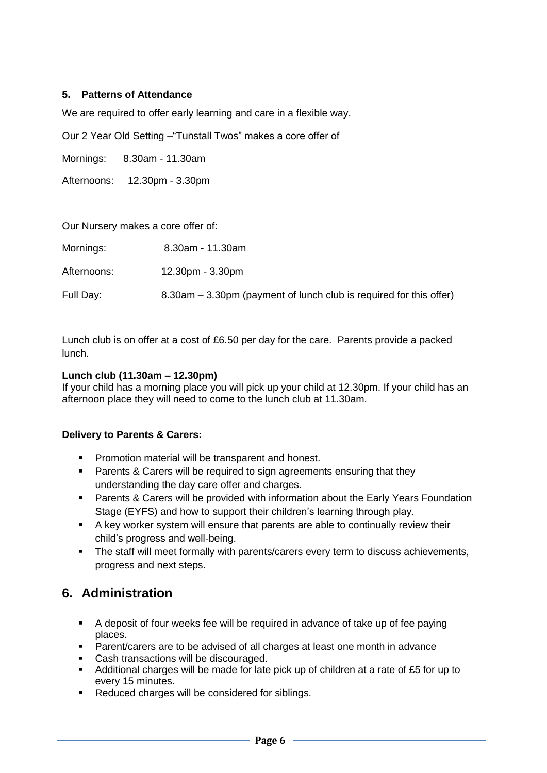#### **5. Patterns of Attendance**

We are required to offer early learning and care in a flexible way.

Our 2 Year Old Setting –"Tunstall Twos" makes a core offer of

Mornings: 8.30am - 11.30am

Afternoons: 12.30pm - 3.30pm

| Our Nursery makes a core offer of: |                                                                    |
|------------------------------------|--------------------------------------------------------------------|
| Mornings:                          | 8.30am - 11.30am                                                   |
| Afternoons:                        | $12.30pm - 3.30pm$                                                 |
| Full Day:                          | 8.30am – 3.30pm (payment of lunch club is required for this offer) |

Lunch club is on offer at a cost of £6.50 per day for the care. Parents provide a packed lunch.

#### **Lunch club (11.30am – 12.30pm)**

If your child has a morning place you will pick up your child at 12.30pm. If your child has an afternoon place they will need to come to the lunch club at 11.30am.

#### **Delivery to Parents & Carers:**

- Promotion material will be transparent and honest.
- Parents & Carers will be required to sign agreements ensuring that they understanding the day care offer and charges.
- Parents & Carers will be provided with information about the Early Years Foundation Stage (EYFS) and how to support their children's learning through play.
- A key worker system will ensure that parents are able to continually review their child's progress and well-being.
- **•** The staff will meet formally with parents/carers every term to discuss achievements, progress and next steps.

### **6. Administration**

- A deposit of four weeks fee will be required in advance of take up of fee paying places.
- Parent/carers are to be advised of all charges at least one month in advance
- Cash transactions will be discouraged.
- Additional charges will be made for late pick up of children at a rate of £5 for up to every 15 minutes.
- Reduced charges will be considered for siblings.